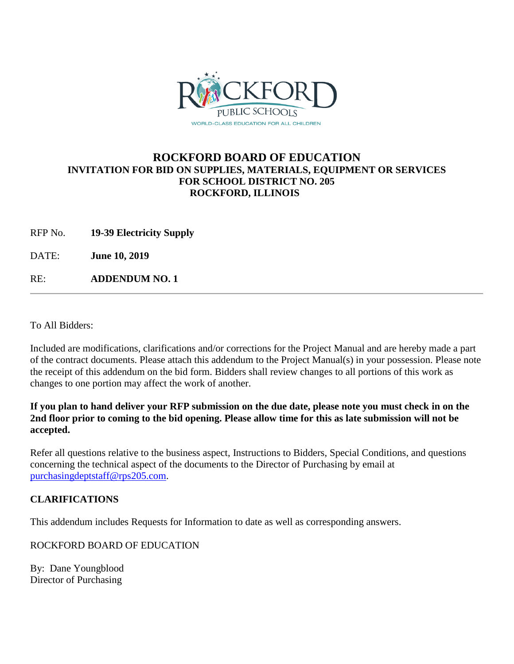

## **ROCKFORD BOARD OF EDUCATION INVITATION FOR BID ON SUPPLIES, MATERIALS, EQUIPMENT OR SERVICES FOR SCHOOL DISTRICT NO. 205 ROCKFORD, ILLINOIS**

RFP No. **19-39 Electricity Supply**

DATE: **June 10, 2019**

RE: **ADDENDUM NO. 1**

To All Bidders:

Included are modifications, clarifications and/or corrections for the Project Manual and are hereby made a part of the contract documents. Please attach this addendum to the Project Manual(s) in your possession. Please note the receipt of this addendum on the bid form. Bidders shall review changes to all portions of this work as changes to one portion may affect the work of another.

**If you plan to hand deliver your RFP submission on the due date, please note you must check in on the 2nd floor prior to coming to the bid opening. Please allow time for this as late submission will not be accepted.**

Refer all questions relative to the business aspect, Instructions to Bidders, Special Conditions, and questions concerning the technical aspect of the documents to the Director of Purchasing by email at [purchasingdeptstaff@rps205.com.](mailto:purchasingdeptstaff@rps205.com)

## **CLARIFICATIONS**

This addendum includes Requests for Information to date as well as corresponding answers.

ROCKFORD BOARD OF EDUCATION

By: Dane Youngblood Director of Purchasing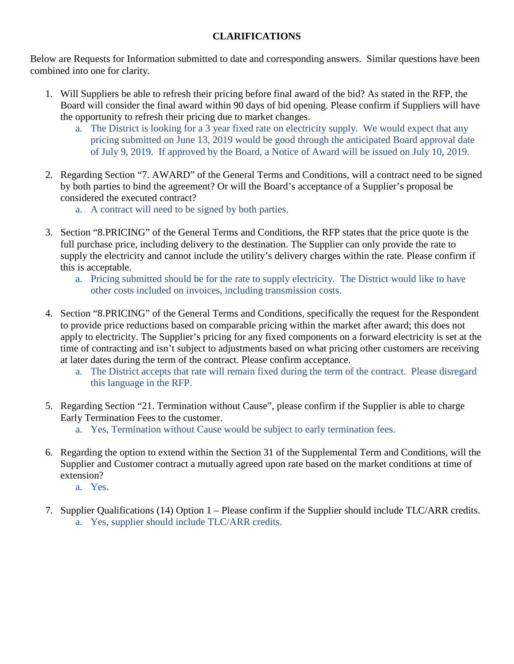## **CLARIFICATIONS**

Below are Requests for Information submitted to date and corresponding answers. Similar questions have been combined into one for clarity.

- 1. Will Suppliers be able to refresh their pricing before final award of the bid? As stated in the RFP, the Board will consider the final award within 90 days of bid opening. Please confirm if Suppliers will have the opportunity to refresh their pricing due to market changes.
	- a. The District is looking for a 3 year fixed rate on electricity supply. We would expect that any pricing submitted on June 13, 2019 would be good through the anticipated Board approval date of July 9, 2019. If approved by the Board, a Notice of Award will be issued on July 10, 2019.
- 2. Regarding Section "7. AWARD" of the General Terms and Conditions, will a contract need to be signed by both parties to bind the agreement? Or will the Board's acceptance of a Supplier's proposal be considered the executed contract?
	- a. A contract will need to be signed by both parties.
- 3. Section "8.PRICING" of the General Terms and Conditions, the RFP states that the price quote is the full purchase price, including delivery to the destination. The Supplier can only provide the rate to supply the electricity and cannot include the utility's delivery charges within the rate. Please confirm if this is acceptable.
	- a. Pricing submitted should be for the rate to supply electricity. The District would like to have other costs included on invoices, including transmission costs.
- 4. Section "8.PRICING" of the General Terms and Conditions, specifically the request for the Respondent to provide price reductions based on comparable pricing within the market after award; this does not apply to electricity. The Supplier's pricing for any fixed components on a forward electricity is set at the time of contracting and isn't subject to adjustments based on what pricing other customers are receiving at later dates during the term of the contract. Please confirm acceptance.
	- a. The District accepts that rate will remain fixed during the term of the contract. Please disregard this language in the RFP.
- 5. Regarding Section "21. Termination without Cause", please confirm if the Supplier is able to charge Early Termination Fees to the customer.
	- a. Yes, Termination without Cause would be subject to early termination fees.
- 6. Regarding the option to extend within the Section 31 of the Supplemental Term and Conditions, will the Supplier and Customer contract a mutually agreed upon rate based on the market conditions at time of extension?
	- a. Yes.
- 7. Supplier Qualifications (14) Option 1 Please confirm if the Supplier should include TLC/ARR credits. a. Yes, supplier should include TLC/ARR credits.